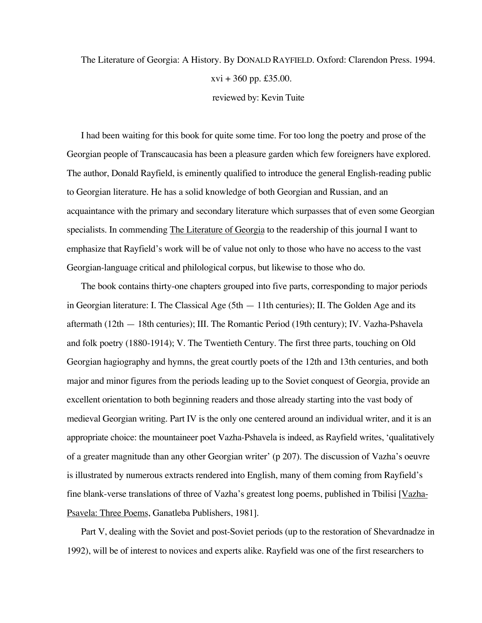## The Literature of Georgia: A History. By DONALD RAYFIELD. Oxford: Clarendon Press. 1994.  $xvi + 360$  pp. £35.00. reviewed by: Kevin Tuite

I had been waiting for this book for quite some time. For too long the poetry and prose of the Georgian people of Transcaucasia has been a pleasure garden which few foreigners have explored. The author, Donald Rayfield, is eminently qualified to introduce the general English-reading public to Georgian literature. He has a solid knowledge of both Georgian and Russian, and an acquaintance with the primary and secondary literature which surpasses that of even some Georgian specialists. In commending The Literature of Georgia to the readership of this journal I want to emphasize that Rayfield's work will be of value not only to those who have no access to the vast Georgian-language critical and philological corpus, but likewise to those who do.

The book contains thirty-one chapters grouped into five parts, corresponding to major periods in Georgian literature: I. The Classical Age (5th — 11th centuries); II. The Golden Age and its aftermath (12th — 18th centuries); III. The Romantic Period (19th century); IV. Vazha-Pshavela and folk poetry (1880-1914); V. The Twentieth Century. The first three parts, touching on Old Georgian hagiography and hymns, the great courtly poets of the 12th and 13th centuries, and both major and minor figures from the periods leading up to the Soviet conquest of Georgia, provide an excellent orientation to both beginning readers and those already starting into the vast body of medieval Georgian writing. Part IV is the only one centered around an individual writer, and it is an appropriate choice: the mountaineer poet Vazha-Pshavela is indeed, as Rayfield writes, 'qualitatively of a greater magnitude than any other Georgian writer' (p 207). The discussion of Vazha's oeuvre is illustrated by numerous extracts rendered into English, many of them coming from Rayfield's fine blank-verse translations of three of Vazha's greatest long poems, published in Tbilisi [Vazha-Psavela: Three Poems, Ganatleba Publishers, 1981].

Part V, dealing with the Soviet and post-Soviet periods (up to the restoration of Shevardnadze in 1992), will be of interest to novices and experts alike. Rayfield was one of the first researchers to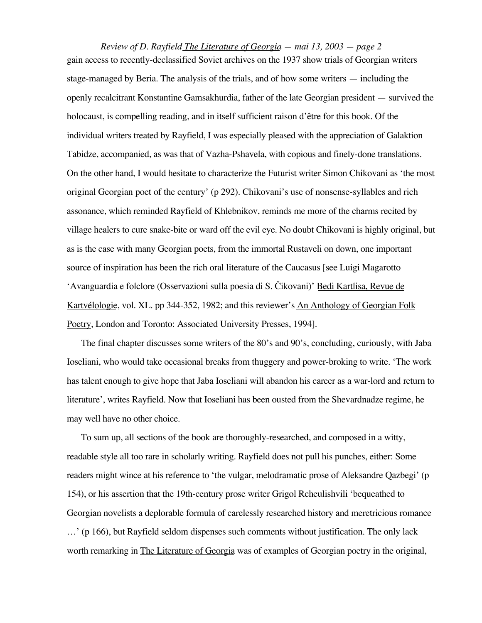*Review of D. Rayfield The Literature of Georgia — mai 13, 2003 — page 2* gain access to recently-declassified Soviet archives on the 1937 show trials of Georgian writers stage-managed by Beria. The analysis of the trials, and of how some writers — including the openly recalcitrant Konstantine Gamsakhurdia, father of the late Georgian president — survived the holocaust, is compelling reading, and in itself sufficient raison d'être for this book. Of the individual writers treated by Rayfield, I was especially pleased with the appreciation of Galaktion Tabidze, accompanied, as was that of Vazha-Pshavela, with copious and finely-done translations. On the other hand, I would hesitate to characterize the Futurist writer Simon Chikovani as 'the most original Georgian poet of the century' (p 292). Chikovani's use of nonsense-syllables and rich assonance, which reminded Rayfield of Khlebnikov, reminds me more of the charms recited by village healers to cure snake-bite or ward off the evil eye. No doubt Chikovani is highly original, but as is the case with many Georgian poets, from the immortal Rustaveli on down, one important source of inspiration has been the rich oral literature of the Caucasus [see Luigi Magarotto 'Avanguardia e folclore (Osservazioni sulla poesia di S. Čikovani)' Bedi Kartlisa, Revue de Kartvélologie, vol. XL. pp 344-352, 1982; and this reviewer's An Anthology of Georgian Folk Poetry, London and Toronto: Associated University Presses, 1994].

The final chapter discusses some writers of the 80's and 90's, concluding, curiously, with Jaba Ioseliani, who would take occasional breaks from thuggery and power-broking to write. 'The work has talent enough to give hope that Jaba Ioseliani will abandon his career as a war-lord and return to literature', writes Rayfield. Now that Ioseliani has been ousted from the Shevardnadze regime, he may well have no other choice.

To sum up, all sections of the book are thoroughly-researched, and composed in a witty, readable style all too rare in scholarly writing. Rayfield does not pull his punches, either: Some readers might wince at his reference to 'the vulgar, melodramatic prose of Aleksandre Qazbegi' (p 154), or his assertion that the 19th-century prose writer Grigol Rcheulishvili 'bequeathed to Georgian novelists a deplorable formula of carelessly researched history and meretricious romance …' (p 166), but Rayfield seldom dispenses such comments without justification. The only lack worth remarking in The Literature of Georgia was of examples of Georgian poetry in the original,